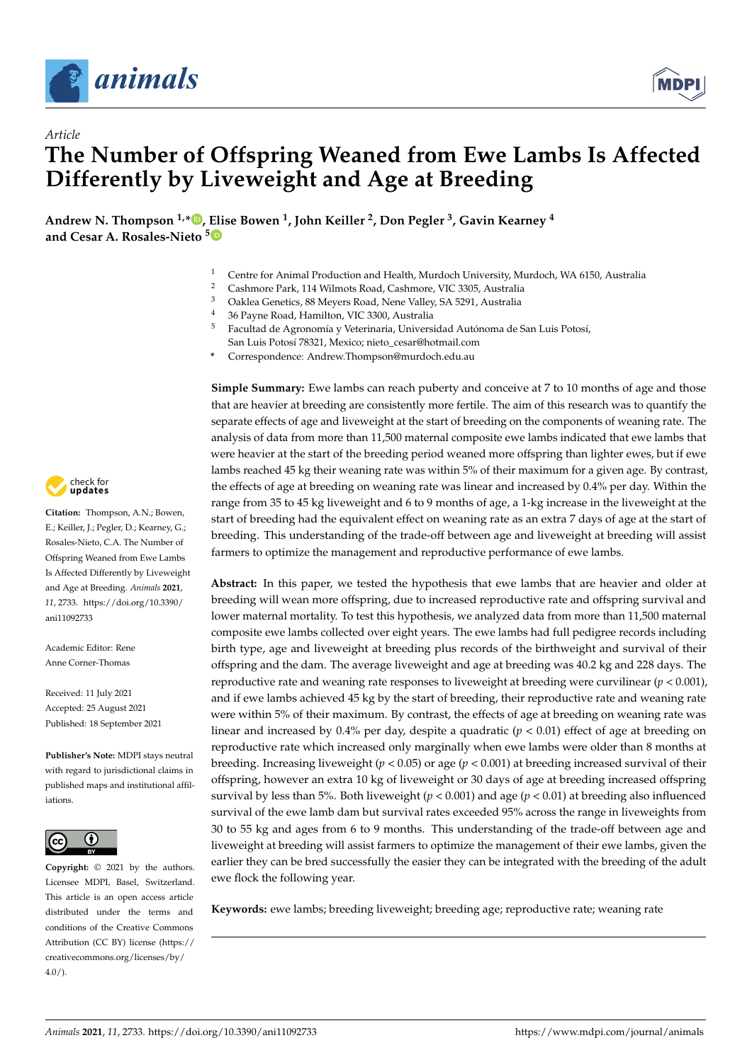

*Article*



# **The Number of Offspring Weaned from Ewe Lambs Is Affected Differently by Liveweight and Age at Breeding**

**Andrew N. Thompson 1,[\\*](https://orcid.org/0000-0001-7121-7459) , [Eli](https://orcid.org/0000-0002-3414-338X)se Bowen <sup>1</sup> , John Keiller <sup>2</sup> , Don Pegler <sup>3</sup> , Gavin Kearney <sup>4</sup> and Cesar A. Rosales-Nieto <sup>5</sup>**

- <sup>1</sup> Centre for Animal Production and Health, Murdoch University, Murdoch, WA 6150, Australia<sup>2</sup>
- <sup>2</sup> Cashmore Park, 114 Wilmots Road, Cashmore, VIC 3305, Australia<br><sup>3</sup> Cables Canatias <sup>99</sup> Marcon Bard, New Valley 5A 5201, Australia
- <sup>3</sup> Oaklea Genetics, 88 Meyers Road, Nene Valley, SA 5291, Australia
- <sup>4</sup> 36 Payne Road, Hamilton, VIC 3300, Australia
- <sup>5</sup> Facultad de Agronomía y Veterinaria, Universidad Autónoma de San Luis Potosí, San Luis Potosí 78321, Mexico; nieto\_cesar@hotmail.com
- **\*** Correspondence: Andrew.Thompson@murdoch.edu.au

**Simple Summary:** Ewe lambs can reach puberty and conceive at 7 to 10 months of age and those that are heavier at breeding are consistently more fertile. The aim of this research was to quantify the separate effects of age and liveweight at the start of breeding on the components of weaning rate. The analysis of data from more than 11,500 maternal composite ewe lambs indicated that ewe lambs that were heavier at the start of the breeding period weaned more offspring than lighter ewes, but if ewe lambs reached 45 kg their weaning rate was within 5% of their maximum for a given age. By contrast, the effects of age at breeding on weaning rate was linear and increased by 0.4% per day. Within the range from 35 to 45 kg liveweight and 6 to 9 months of age, a 1-kg increase in the liveweight at the start of breeding had the equivalent effect on weaning rate as an extra 7 days of age at the start of breeding. This understanding of the trade-off between age and liveweight at breeding will assist farmers to optimize the management and reproductive performance of ewe lambs.

**Abstract:** In this paper, we tested the hypothesis that ewe lambs that are heavier and older at breeding will wean more offspring, due to increased reproductive rate and offspring survival and lower maternal mortality. To test this hypothesis, we analyzed data from more than 11,500 maternal composite ewe lambs collected over eight years. The ewe lambs had full pedigree records including birth type, age and liveweight at breeding plus records of the birthweight and survival of their offspring and the dam. The average liveweight and age at breeding was 40.2 kg and 228 days. The reproductive rate and weaning rate responses to liveweight at breeding were curvilinear  $(p < 0.001)$ , and if ewe lambs achieved 45 kg by the start of breeding, their reproductive rate and weaning rate were within 5% of their maximum. By contrast, the effects of age at breeding on weaning rate was linear and increased by 0.4% per day, despite a quadratic  $(p < 0.01)$  effect of age at breeding on reproductive rate which increased only marginally when ewe lambs were older than 8 months at breeding. Increasing liveweight (*p* < 0.05) or age (*p* < 0.001) at breeding increased survival of their offspring, however an extra 10 kg of liveweight or 30 days of age at breeding increased offspring survival by less than 5%. Both liveweight ( $p < 0.001$ ) and age ( $p < 0.01$ ) at breeding also influenced survival of the ewe lamb dam but survival rates exceeded 95% across the range in liveweights from 30 to 55 kg and ages from 6 to 9 months. This understanding of the trade-off between age and liveweight at breeding will assist farmers to optimize the management of their ewe lambs, given the earlier they can be bred successfully the easier they can be integrated with the breeding of the adult ewe flock the following year.

**Keywords:** ewe lambs; breeding liveweight; breeding age; reproductive rate; weaning rate



**Citation:** Thompson, A.N.; Bowen, E.; Keiller, J.; Pegler, D.; Kearney, G.; Rosales-Nieto, C.A. The Number of Offspring Weaned from Ewe Lambs Is Affected Differently by Liveweight and Age at Breeding. *Animals* **2021**, *11*, 2733. [https://doi.org/10.3390/](https://doi.org/10.3390/ani11092733) [ani11092733](https://doi.org/10.3390/ani11092733)

Academic Editor: Rene Anne Corner-Thomas

Received: 11 July 2021 Accepted: 25 August 2021 Published: 18 September 2021

**Publisher's Note:** MDPI stays neutral with regard to jurisdictional claims in published maps and institutional affiliations.



**Copyright:** © 2021 by the authors. Licensee MDPI, Basel, Switzerland. This article is an open access article distributed under the terms and conditions of the Creative Commons Attribution (CC BY) license (https:/[/](https://creativecommons.org/licenses/by/4.0/) [creativecommons.org/licenses/by/](https://creativecommons.org/licenses/by/4.0/)  $4.0/$ ).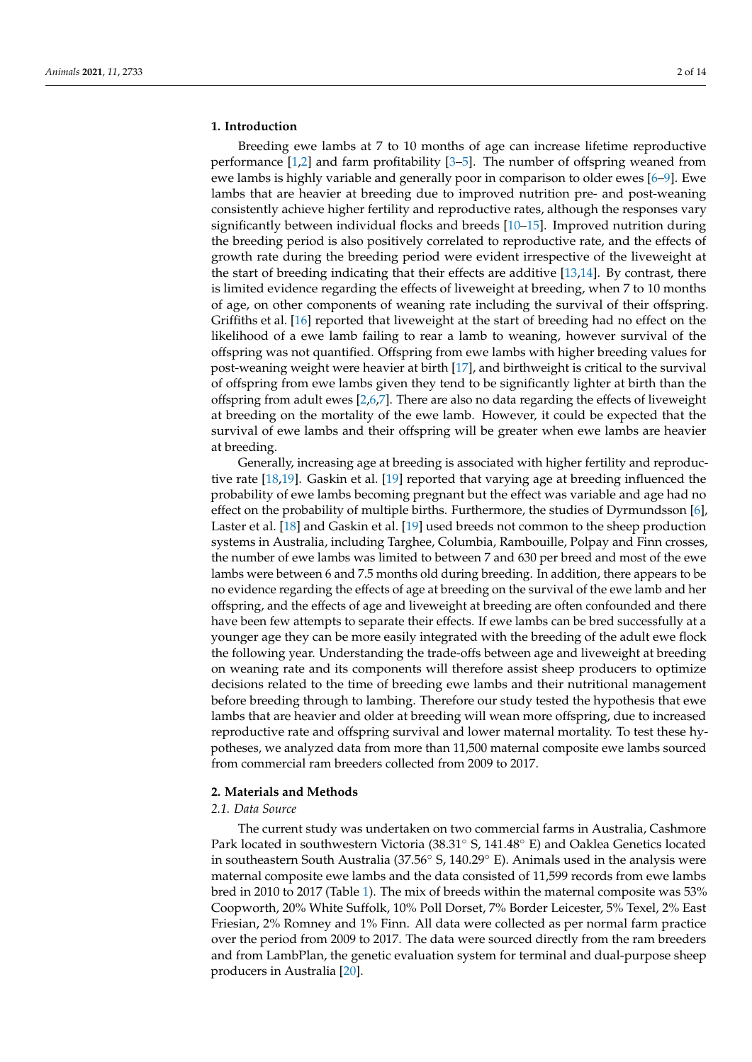#### **1. Introduction**

Breeding ewe lambs at 7 to 10 months of age can increase lifetime reproductive performance  $[1,2]$  $[1,2]$  and farm profitability  $[3-5]$  $[3-5]$ . The number of offspring weaned from ewe lambs is highly variable and generally poor in comparison to older ewes [\[6–](#page-12-4)[9\]](#page-12-5). Ewe lambs that are heavier at breeding due to improved nutrition pre- and post-weaning consistently achieve higher fertility and reproductive rates, although the responses vary significantly between individual flocks and breeds [\[10](#page-12-6)[–15\]](#page-13-0). Improved nutrition during the breeding period is also positively correlated to reproductive rate, and the effects of growth rate during the breeding period were evident irrespective of the liveweight at the start of breeding indicating that their effects are additive [\[13,](#page-12-7)[14\]](#page-12-8). By contrast, there is limited evidence regarding the effects of liveweight at breeding, when 7 to 10 months of age, on other components of weaning rate including the survival of their offspring. Griffiths et al. [\[16\]](#page-13-1) reported that liveweight at the start of breeding had no effect on the likelihood of a ewe lamb failing to rear a lamb to weaning, however survival of the offspring was not quantified. Offspring from ewe lambs with higher breeding values for post-weaning weight were heavier at birth [\[17\]](#page-13-2), and birthweight is critical to the survival of offspring from ewe lambs given they tend to be significantly lighter at birth than the offspring from adult ewes [\[2](#page-12-1)[,6,](#page-12-4)[7\]](#page-12-9). There are also no data regarding the effects of liveweight at breeding on the mortality of the ewe lamb. However, it could be expected that the survival of ewe lambs and their offspring will be greater when ewe lambs are heavier at breeding.

Generally, increasing age at breeding is associated with higher fertility and reproductive rate [\[18,](#page-13-3)[19\]](#page-13-4). Gaskin et al. [\[19\]](#page-13-4) reported that varying age at breeding influenced the probability of ewe lambs becoming pregnant but the effect was variable and age had no effect on the probability of multiple births. Furthermore, the studies of Dyrmundsson [\[6\]](#page-12-4), Laster et al. [\[18\]](#page-13-3) and Gaskin et al. [\[19\]](#page-13-4) used breeds not common to the sheep production systems in Australia, including Targhee, Columbia, Rambouille, Polpay and Finn crosses, the number of ewe lambs was limited to between 7 and 630 per breed and most of the ewe lambs were between 6 and 7.5 months old during breeding. In addition, there appears to be no evidence regarding the effects of age at breeding on the survival of the ewe lamb and her offspring, and the effects of age and liveweight at breeding are often confounded and there have been few attempts to separate their effects. If ewe lambs can be bred successfully at a younger age they can be more easily integrated with the breeding of the adult ewe flock the following year. Understanding the trade-offs between age and liveweight at breeding on weaning rate and its components will therefore assist sheep producers to optimize decisions related to the time of breeding ewe lambs and their nutritional management before breeding through to lambing. Therefore our study tested the hypothesis that ewe lambs that are heavier and older at breeding will wean more offspring, due to increased reproductive rate and offspring survival and lower maternal mortality. To test these hypotheses, we analyzed data from more than 11,500 maternal composite ewe lambs sourced from commercial ram breeders collected from 2009 to 2017.

#### **2. Materials and Methods**

#### *2.1. Data Source*

The current study was undertaken on two commercial farms in Australia, Cashmore Park located in southwestern Victoria (38.31◦ S, 141.48◦ E) and Oaklea Genetics located in southeastern South Australia (37.56◦ S, 140.29◦ E). Animals used in the analysis were maternal composite ewe lambs and the data consisted of 11,599 records from ewe lambs bred in 2010 to 2017 (Table [1\)](#page-2-0). The mix of breeds within the maternal composite was 53% Coopworth, 20% White Suffolk, 10% Poll Dorset, 7% Border Leicester, 5% Texel, 2% East Friesian, 2% Romney and 1% Finn. All data were collected as per normal farm practice over the period from 2009 to 2017. The data were sourced directly from the ram breeders and from LambPlan, the genetic evaluation system for terminal and dual-purpose sheep producers in Australia [\[20\]](#page-13-5).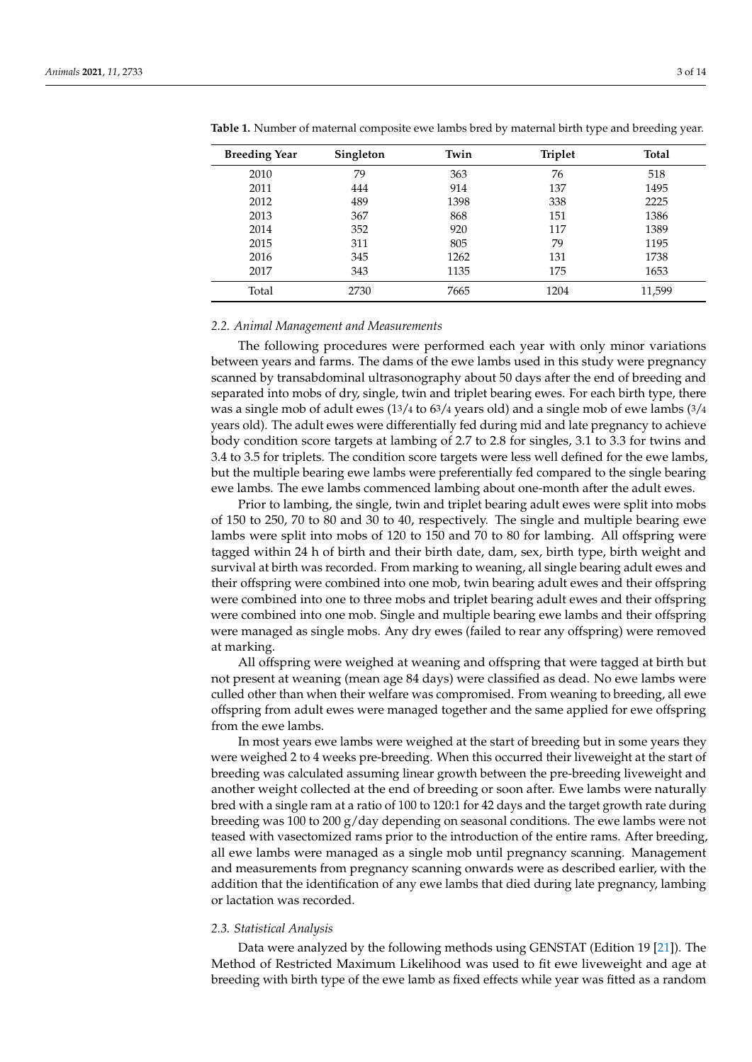| <b>Breeding Year</b> | Singleton | Twin | <b>Triplet</b> | <b>Total</b> |
|----------------------|-----------|------|----------------|--------------|
| 2010                 | 79        | 363  | 76             | 518          |
| 2011                 | 444       | 914  | 137            | 1495         |
| 2012                 | 489       | 1398 | 338            | 2225         |
| 2013                 | 367       | 868  | 151            | 1386         |
| 2014                 | 352       | 920  | 117            | 1389         |
| 2015                 | 311       | 805  | 79             | 1195         |
| 2016                 | 345       | 1262 | 131            | 1738         |
| 2017                 | 343       | 1135 | 175            | 1653         |
| Total                | 2730      | 7665 | 1204           | 11,599       |

<span id="page-2-0"></span>**Table 1.** Number of maternal composite ewe lambs bred by maternal birth type and breeding year.

#### *2.2. Animal Management and Measurements*

The following procedures were performed each year with only minor variations between years and farms. The dams of the ewe lambs used in this study were pregnancy scanned by transabdominal ultrasonography about 50 days after the end of breeding and separated into mobs of dry, single, twin and triplet bearing ewes. For each birth type, there was a single mob of adult ewes  $(13/4 \text{ to } 63/4 \text{ years old})$  and a single mob of ewe lambs  $(3/4 \text{ years})$ years old). The adult ewes were differentially fed during mid and late pregnancy to achieve body condition score targets at lambing of 2.7 to 2.8 for singles, 3.1 to 3.3 for twins and 3.4 to 3.5 for triplets. The condition score targets were less well defined for the ewe lambs, but the multiple bearing ewe lambs were preferentially fed compared to the single bearing ewe lambs. The ewe lambs commenced lambing about one-month after the adult ewes.

Prior to lambing, the single, twin and triplet bearing adult ewes were split into mobs of 150 to 250, 70 to 80 and 30 to 40, respectively. The single and multiple bearing ewe lambs were split into mobs of 120 to 150 and 70 to 80 for lambing. All offspring were tagged within 24 h of birth and their birth date, dam, sex, birth type, birth weight and survival at birth was recorded. From marking to weaning, all single bearing adult ewes and their offspring were combined into one mob, twin bearing adult ewes and their offspring were combined into one to three mobs and triplet bearing adult ewes and their offspring were combined into one mob. Single and multiple bearing ewe lambs and their offspring were managed as single mobs. Any dry ewes (failed to rear any offspring) were removed at marking.

All offspring were weighed at weaning and offspring that were tagged at birth but not present at weaning (mean age 84 days) were classified as dead. No ewe lambs were culled other than when their welfare was compromised. From weaning to breeding, all ewe offspring from adult ewes were managed together and the same applied for ewe offspring from the ewe lambs.

In most years ewe lambs were weighed at the start of breeding but in some years they were weighed 2 to 4 weeks pre-breeding. When this occurred their liveweight at the start of breeding was calculated assuming linear growth between the pre-breeding liveweight and another weight collected at the end of breeding or soon after. Ewe lambs were naturally bred with a single ram at a ratio of 100 to 120:1 for 42 days and the target growth rate during breeding was 100 to 200 g/day depending on seasonal conditions. The ewe lambs were not teased with vasectomized rams prior to the introduction of the entire rams. After breeding, all ewe lambs were managed as a single mob until pregnancy scanning. Management and measurements from pregnancy scanning onwards were as described earlier, with the addition that the identification of any ewe lambs that died during late pregnancy, lambing or lactation was recorded.

#### *2.3. Statistical Analysis*

Data were analyzed by the following methods using GENSTAT (Edition 19 [\[21\]](#page-13-6)). The Method of Restricted Maximum Likelihood was used to fit ewe liveweight and age at breeding with birth type of the ewe lamb as fixed effects while year was fitted as a random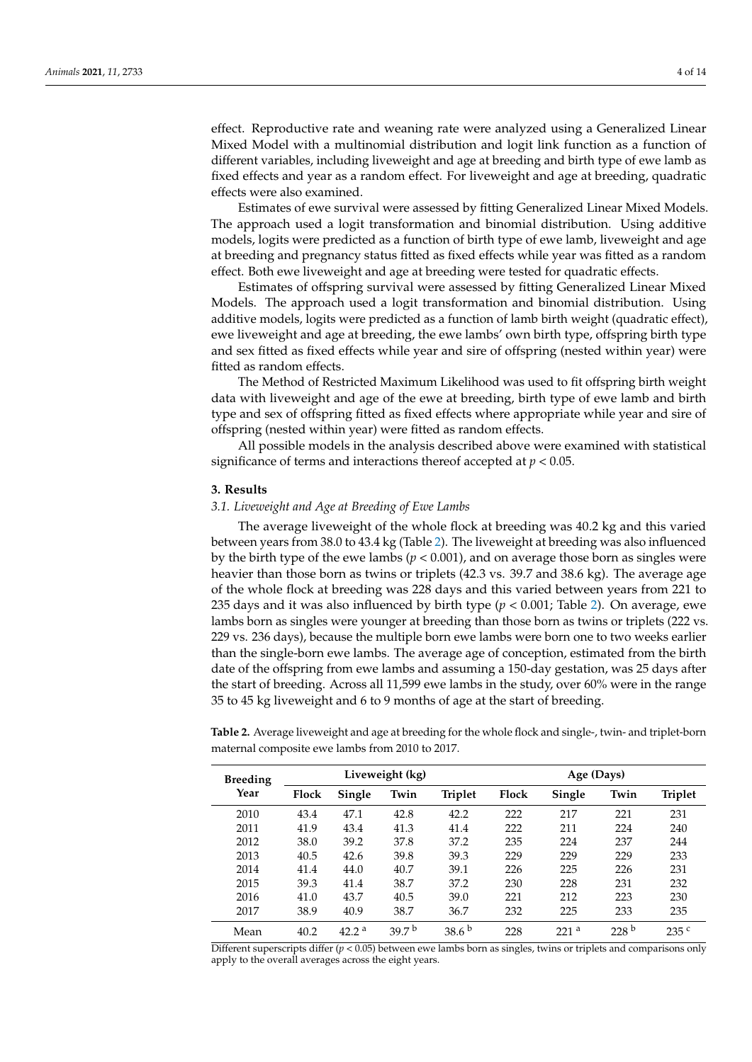effect. Reproductive rate and weaning rate were analyzed using a Generalized Linear Mixed Model with a multinomial distribution and logit link function as a function of different variables, including liveweight and age at breeding and birth type of ewe lamb as fixed effects and year as a random effect. For liveweight and age at breeding, quadratic effects were also examined.

Estimates of ewe survival were assessed by fitting Generalized Linear Mixed Models. The approach used a logit transformation and binomial distribution. Using additive models, logits were predicted as a function of birth type of ewe lamb, liveweight and age at breeding and pregnancy status fitted as fixed effects while year was fitted as a random effect. Both ewe liveweight and age at breeding were tested for quadratic effects.

Estimates of offspring survival were assessed by fitting Generalized Linear Mixed Models. The approach used a logit transformation and binomial distribution. Using additive models, logits were predicted as a function of lamb birth weight (quadratic effect), ewe liveweight and age at breeding, the ewe lambs' own birth type, offspring birth type and sex fitted as fixed effects while year and sire of offspring (nested within year) were fitted as random effects.

The Method of Restricted Maximum Likelihood was used to fit offspring birth weight data with liveweight and age of the ewe at breeding, birth type of ewe lamb and birth type and sex of offspring fitted as fixed effects where appropriate while year and sire of offspring (nested within year) were fitted as random effects.

All possible models in the analysis described above were examined with statistical significance of terms and interactions thereof accepted at  $p < 0.05$ .

#### **3. Results**

#### *3.1. Liveweight and Age at Breeding of Ewe Lambs*

The average liveweight of the whole flock at breeding was 40.2 kg and this varied between years from 38.0 to 43.4 kg (Table [2\)](#page-3-0). The liveweight at breeding was also influenced by the birth type of the ewe lambs (*p* < 0.001), and on average those born as singles were heavier than those born as twins or triplets (42.3 vs. 39.7 and 38.6 kg). The average age of the whole flock at breeding was 228 days and this varied between years from 221 to 235 days and it was also influenced by birth type ( $p < 0.001$ ; Table [2\)](#page-3-0). On average, ewe lambs born as singles were younger at breeding than those born as twins or triplets (222 vs. 229 vs. 236 days), because the multiple born ewe lambs were born one to two weeks earlier than the single-born ewe lambs. The average age of conception, estimated from the birth date of the offspring from ewe lambs and assuming a 150-day gestation, was 25 days after the start of breeding. Across all 11,599 ewe lambs in the study, over 60% were in the range 35 to 45 kg liveweight and 6 to 9 months of age at the start of breeding.

<span id="page-3-0"></span>**Table 2.** Average liveweight and age at breeding for the whole flock and single-, twin- and triplet-born maternal composite ewe lambs from 2010 to 2017.

| <b>Breeding</b> | Liveweight (kg) |                   |                   |                   | Age (Days) |                  |                  |                  |  |
|-----------------|-----------------|-------------------|-------------------|-------------------|------------|------------------|------------------|------------------|--|
| Year            | <b>Flock</b>    | Single            | Twin              | <b>Triplet</b>    | Flock      | Single           | Twin             | <b>Triplet</b>   |  |
| 2010            | 43.4            | 47.1              | 42.8              | 42.2              | 222        | 217              | 221              | 231              |  |
| 2011            | 41.9            | 43.4              | 41.3              | 41.4              | 222        | 211              | 224              | 240              |  |
| 2012            | 38.0            | 39.2              | 37.8              | 37.2              | 235        | 224              | 237              | 244              |  |
| 2013            | 40.5            | 42.6              | 39.8              | 39.3              | 229        | 229              | 229              | 233              |  |
| 2014            | 41.4            | 44.0              | 40.7              | 39.1              | 226        | 225              | 226              | 231              |  |
| 2015            | 39.3            | 41.4              | 38.7              | 37.2              | 230        | 228              | 231              | 232              |  |
| 2016            | 41.0            | 43.7              | 40.5              | 39.0              | 221        | 212              | 223              | 230              |  |
| 2017            | 38.9            | 40.9              | 38.7              | 36.7              | 232        | 225              | 233              | 235              |  |
| Mean            | 40.2            | 42.2 <sup>a</sup> | 39.7 <sup>b</sup> | 38.6 <sup>b</sup> | 228        | 221 <sup>a</sup> | 228 <sup>b</sup> | 235 <sup>c</sup> |  |

Different superscripts differ (*p* < 0.05) between ewe lambs born as singles, twins or triplets and comparisons only apply to the overall averages across the eight years.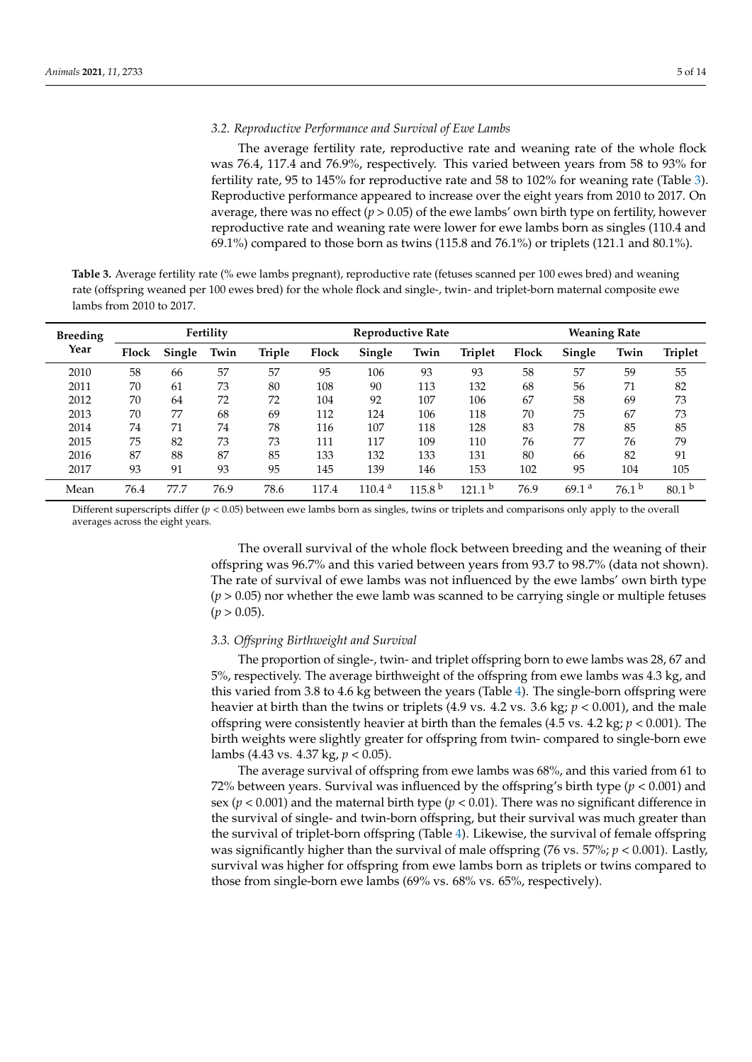#### *3.2. Reproductive Performance and Survival of Ewe Lambs*

The average fertility rate, reproductive rate and weaning rate of the whole flock was 76.4, 117.4 and 76.9%, respectively. This varied between years from 58 to 93% for fertility rate, 95 to 145% for reproductive rate and 58 to 102% for weaning rate (Table [3\)](#page-4-0). Reproductive performance appeared to increase over the eight years from 2010 to 2017. On average, there was no effect ( $p > 0.05$ ) of the ewe lambs' own birth type on fertility, however reproductive rate and weaning rate were lower for ewe lambs born as singles (110.4 and 69.1%) compared to those born as twins (115.8 and 76.1%) or triplets (121.1 and 80.1%).

<span id="page-4-0"></span>**Table 3.** Average fertility rate (% ewe lambs pregnant), reproductive rate (fetuses scanned per 100 ewes bred) and weaning rate (offspring weaned per 100 ewes bred) for the whole flock and single-, twin- and triplet-born maternal composite ewe lambs from 2010 to 2017.

| <b>Breeding</b> | Fertility |        |      | <b>Reproductive Rate</b> |       |        |                    | <b>Weaning Rate</b> |       |                   |                   |                   |
|-----------------|-----------|--------|------|--------------------------|-------|--------|--------------------|---------------------|-------|-------------------|-------------------|-------------------|
| Year            | Flock     | Single | Twin | Triple                   | Flock | Single | Twin               | <b>Triplet</b>      | Flock | Single            | Twin              | <b>Triplet</b>    |
| 2010            | 58        | 66     | 57   | 57                       | 95    | 106    | 93                 | 93                  | 58    | 57                | 59                | 55                |
| 2011            | 70        | 61     | 73   | 80                       | 108   | 90     | 113                | 132                 | 68    | 56                | 71                | 82                |
| 2012            | 70        | 64     | 72   | 72                       | 104   | 92     | 107                | 106                 | 67    | 58                | 69                | 73                |
| 2013            | 70        | 77     | 68   | 69                       | 112   | 124    | 106                | 118                 | 70    | 75                | 67                | 73                |
| 2014            | 74        | 71     | 74   | 78                       | 116   | 107    | 118                | 128                 | 83    | 78                | 85                | 85                |
| 2015            | 75        | 82     | 73   | 73                       | 111   | 117    | 109                | 110                 | 76    | 77                | 76                | 79                |
| 2016            | 87        | 88     | 87   | 85                       | 133   | 132    | 133                | 131                 | 80    | 66                | 82                | 91                |
| 2017            | 93        | 91     | 93   | 95                       | 145   | 139    | 146                | 153                 | 102   | 95                | 104               | 105               |
| Mean            | 76.4      | 77.7   | 76.9 | 78.6                     | 117.4 | 110.4a | 115.8 <sup>b</sup> | 121.1 <sup>b</sup>  | 76.9  | 69.1 <sup>a</sup> | 76.1 <sup>b</sup> | 80.1 <sup>b</sup> |

Different superscripts differ  $(p < 0.05)$  between ewe lambs born as singles, twins or triplets and comparisons only apply to the overall averages across the eight years.

> The overall survival of the whole flock between breeding and the weaning of their offspring was 96.7% and this varied between years from 93.7 to 98.7% (data not shown). The rate of survival of ewe lambs was not influenced by the ewe lambs' own birth type  $(p > 0.05)$  nor whether the ewe lamb was scanned to be carrying single or multiple fetuses  $(p > 0.05)$ .

#### *3.3. Offspring Birthweight and Survival*

The proportion of single-, twin- and triplet offspring born to ewe lambs was 28, 67 and 5%, respectively. The average birthweight of the offspring from ewe lambs was 4.3 kg, and this varied from 3.8 to 4.6 kg between the years (Table [4\)](#page-5-0). The single-born offspring were heavier at birth than the twins or triplets (4.9 vs. 4.2 vs. 3.6 kg; *p* < 0.001), and the male offspring were consistently heavier at birth than the females (4.5 vs. 4.2 kg; *p* < 0.001). The birth weights were slightly greater for offspring from twin- compared to single-born ewe lambs (4.43 vs. 4.37 kg, *p* < 0.05).

The average survival of offspring from ewe lambs was 68%, and this varied from 61 to 72% between years. Survival was influenced by the offspring's birth type ( $p < 0.001$ ) and sex ( $p < 0.001$ ) and the maternal birth type ( $p < 0.01$ ). There was no significant difference in the survival of single- and twin-born offspring, but their survival was much greater than the survival of triplet-born offspring (Table [4\)](#page-5-0). Likewise, the survival of female offspring was significantly higher than the survival of male offspring (76 vs. 57%; *p* < 0.001). Lastly, survival was higher for offspring from ewe lambs born as triplets or twins compared to those from single-born ewe lambs (69% vs. 68% vs. 65%, respectively).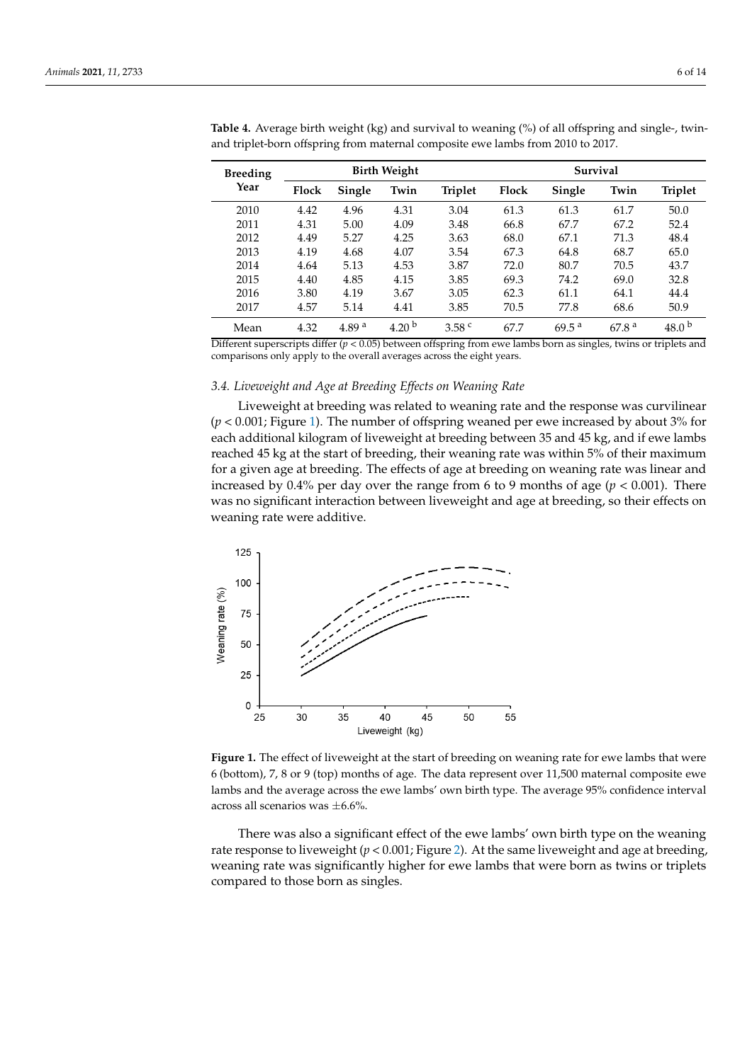| <b>Breeding</b> |       | <b>Birth Weight</b> |                   |                   |       | Survival          |                   |                   |  |
|-----------------|-------|---------------------|-------------------|-------------------|-------|-------------------|-------------------|-------------------|--|
| Year            | Flock | Single              | Twin              | <b>Triplet</b>    | Flock | Single            | Twin              | <b>Triplet</b>    |  |
| 2010            | 4.42  | 4.96                | 4.31              | 3.04              | 61.3  | 61.3              | 61.7              | 50.0              |  |
| 2011            | 4.31  | 5.00                | 4.09              | 3.48              | 66.8  | 67.7              | 67.2              | 52.4              |  |
| 2012            | 4.49  | 5.27                | 4.25              | 3.63              | 68.0  | 67.1              | 71.3              | 48.4              |  |
| 2013            | 4.19  | 4.68                | 4.07              | 3.54              | 67.3  | 64.8              | 68.7              | 65.0              |  |
| 2014            | 4.64  | 5.13                | 4.53              | 3.87              | 72.0  | 80.7              | 70.5              | 43.7              |  |
| 2015            | 4.40  | 4.85                | 4.15              | 3.85              | 69.3  | 74.2              | 69.0              | 32.8              |  |
| 2016            | 3.80  | 4.19                | 3.67              | 3.05              | 62.3  | 61.1              | 64.1              | 44.4              |  |
| 2017            | 4.57  | 5.14                | 4.41              | 3.85              | 70.5  | 77.8              | 68.6              | 50.9              |  |
| Mean            | 4.32  | 4.89 <sup>a</sup>   | 4.20 <sup>b</sup> | 3.58 <sup>c</sup> | 67.7  | $69.5^{\text{a}}$ | 67.8 <sup>a</sup> | 48.0 <sup>b</sup> |  |

<span id="page-5-0"></span>**Table 4.** Average birth weight (kg) and survival to weaning (%) of all offspring and single-, twinand triplet-born offspring from maternal composite ewe lambs from 2010 to 2017.

Different superscripts differ ( $p < 0.05$ ) between offspring from ewe lambs born as singles, twins or triplets and comparisons only apply to the overall averages across the eight years.

#### *3.4. Liveweight and Age at Breeding Effects on Weaning Rate*  $L$  Liveweight and  $L_3$  and  $L$  recently  $L_j$  poles on the ring rate

*3.4. Liveweight and Age at Breeding Effects on Weaning Rate*

Liveweight at breeding was related to weaning rate and the response was curvilinear  $(p < 0.001$ ; Figure [1\)](#page-5-1). The number of offspring weaned per ewe increased by about 3% for each additional kilogram of liveweight at breeding between 35 and 45 kg, and if ewe lambs reached 45 kg at the start of breeding, their weaning rate was within 5% of their maximum for a given age at breeding. The effects of age at breeding on weaning rate was linear and increased by  $0.4\%$  per day over the range from 6 to 9 months of age ( $p < 0.001$ ). There was no significant interaction between liveweight and age at breeding, so their effects on weaning rate were additive.

<span id="page-5-1"></span>

**Figure 1.** The effect of liveweight at the start of breeding on weaning rate for ewe lambs that were (bottom), 7, 8 or 9 (top) months of age. The data represent over 11,500 maternal composite ewe lambs 6 (bottom), 7, 8 or 9 (top) months of age. The data represent over 11,500 maternal composite ewe lambs and the average across the ewe lambs' own birth type. The average 95% confidence interval across all scenarios was  $\pm$ 6.6%.

There was also a significant effect of the ewe lambs' own birth type on the weaning There was also a significant effect of the ewe lambs' own birth type on the weaning rate response to liveweight ( $p < 0.001$ ; Figure 2[\).](#page-6-0) At the same liveweight and age at breeding, weaning rate was significantly higher for ewe lambs that were born as twins or triplets compared to those born as singles.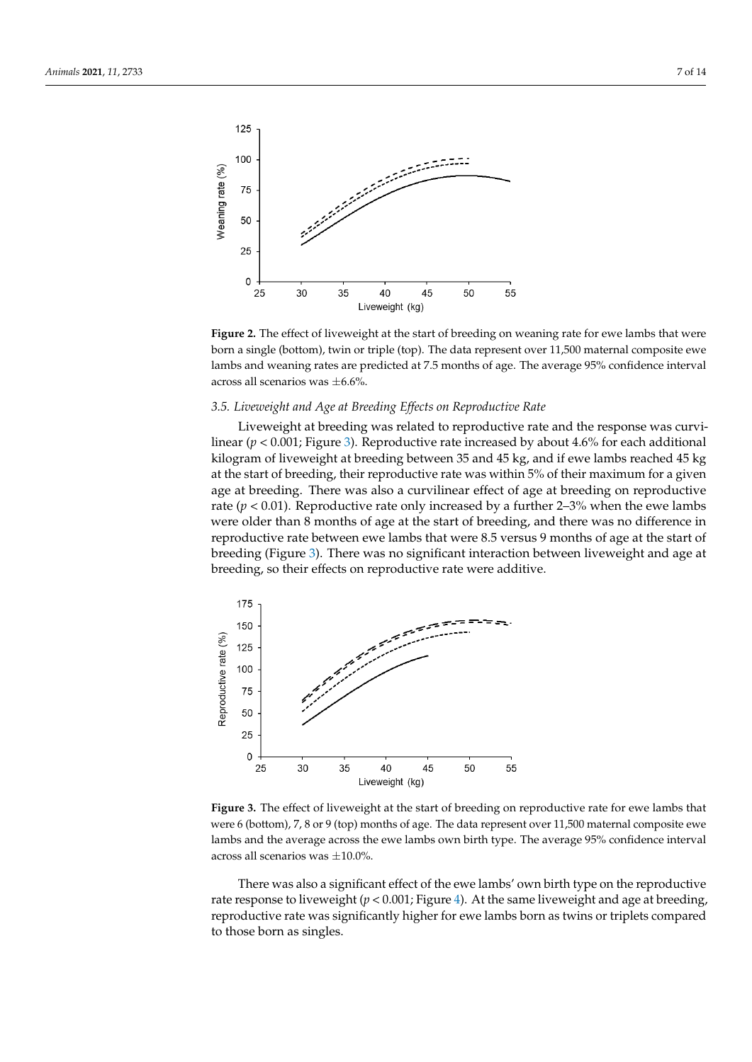<span id="page-6-0"></span>

Figure 2. The effect of liveweight at the start of breeding on weaning rate for ewe lambs that were born a single (bottom), twin or triple (top). The data represent over 11,500 maternal composite ewe lambs and weaning rates are predicted at 7.5 months of age. The average 95% confidence interval across all scenarios was  $\pm 6.6\%$ .

# 3.5. Liveweight and Age at Breeding Effects on Reproductive Rate given also agent and the breeding. There we reproduce the curvilinear effect of a curvilinear effect on reproducible

Liveweight at breeding was related to reproductive rate and the response was curvilinear ( $p < 0.001$ ; Figure 3). [R](#page-6-1)eproductive rate increased by about 4.6% for each additional kilogram of liveweight at breeding between 35 and 45 kg, and if ewe lambs reached 45 kg at the start of breeding, their reproductive rate was within 5% of their maximum for a given age at breeding. There was also a curvilinear effect of age at breeding on reproductive rate ( $p < 0.01$ ). Reproductive rate only increased by a further 2-3% when the ewe lambs were older than 8 months of age at the start of breeding, and there was no difference in reproductive rate between ewe lambs that were  $8.5$  versus 9 months of age at the start of breeding (Figure [3\)](#page-6-1). There was no significant interaction between liveweight and age at breeding, so their effects on reproductive rate were additive. breeding, so their effects on reproductive rate were additive.

<span id="page-6-1"></span>

**Figure 3.** The effect of liveweight at the start of breeding on reproductive rate for ewe lambs that **Figure 3.** The effect of liveweight at the start of breeding on reproductive rate for ewe lambs that were 6 (bottom), 7, 8 or 9 (top) months of age. The data represent over 11,500 maternal composite were 6 (bottom), 7, 8 or 9 (top) months of age. The data represent over 11,500 maternal composite ewe lambs and the average across the ewe lambs own birth type. The average 95% confidence interval across all scenarios was  $\pm 10.0$ %.

There was also a significant effect of the ewe lambs' own birth type on the reproductive rate response to liveweight ( $p < 0.001$ ; Figure [4\)](#page-7-0). At the same liveweight and age at breeding, reproductive rate was significantly higher for ewe lambs born as twins or triplets compared to those born as singles.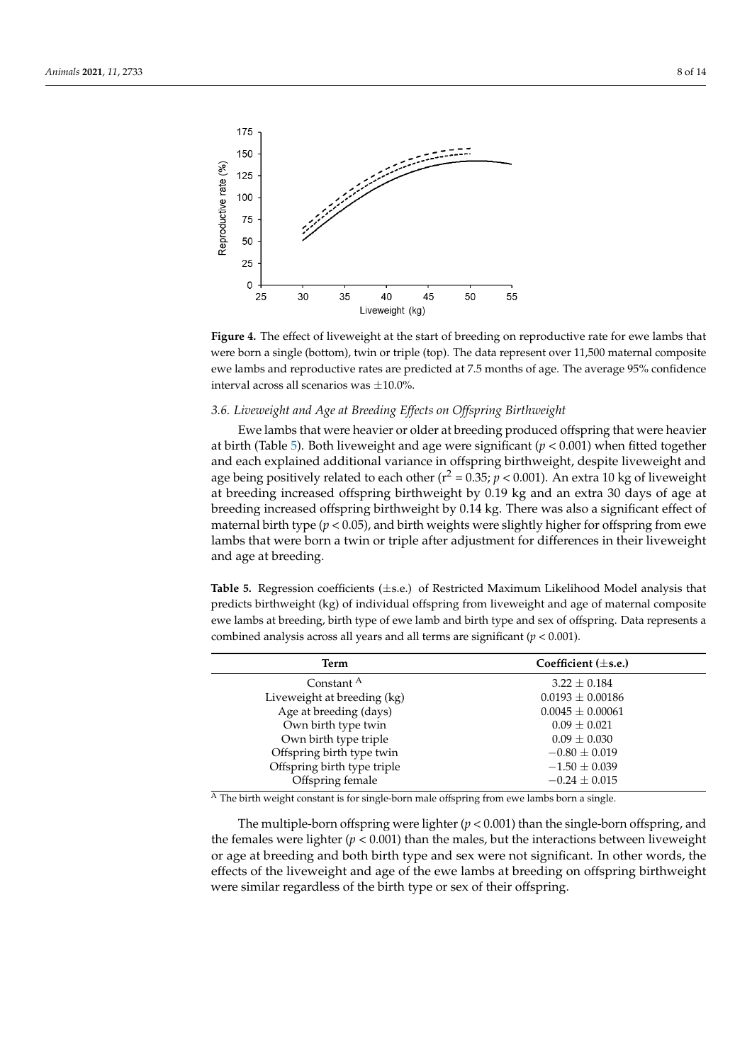<span id="page-7-0"></span>

**Figure 4.** The effect of liveweight at the start of breeding on reproductive rate for ewe lambs that **Figure 4.** The effect of liveweight at the start of breeding on reproductive rate for ewe lambs that were born a single (bottom), twin or triple (top). The data represent over 11,500 maternal composite were born a single (bottom), twin or triple (top). The data represent over 11,500 maternal composite ewe lambs and reproductive rates are predicted at 7.5 months of age. The average 95% confidence ewe lambs and reproductive rates are predicted at 7.5 months of age. The average 95% confidence interval across all scenarios was ±10.0%. interval across all scenarios was ±10.0%.

### *3.6. Liveweight and Age at Breeding Effects on Offspring Birthweight 3.6. Liveweight and Age at Breeding Effects on Offspring Birthweight*

Ewe lambs that were heavier or older at breeding produced offspring that were heavier at birth (Tabl[e 5](#page-7-1)). Both liveweight and age were significant ( $p < 0.001$ ) when fitted together and each explained additional variance in offspring birthweight, despite liveweight and age being positively related to each other ( $r^2 = 0.35$ ;  $p < 0.001$ ). An extra 10 kg of liveweight at breeding increased offspring birthweight by 0.19 kg and an extra 30 days of age at breeding increased offspring birthweight by 0.14 kg. There was also a significant effect of maternal birth type ( $p < 0.05$ ), and birth weights were slightly higher for offspring from ewe lambs that were born a twin or triple after adjustment for differences in their liveweight and age at breeding.

<span id="page-7-1"></span>**Table 5.** Regression coefficients (±s.e.) of Restricted Maximum Likelihood Model analysis that pre-**Table 5.** Regression coefficients (±s.e.) of Restricted Maximum Likelihood Model analysis that predicts birthweight (kg) of individual offspring from liveweight and age of maternal composite lambs at breeding, birth type of ewe lamb and birth type and sex of offspring. Data represents a ewe lambs at breeding, birth type of ewe lamb and birth type and sex of offspring. Data represents a combined analysis across all years and all terms are significant (*p* < 0.001). combined analysis across all years and all terms are significant (*p* < 0.001).

| Term                        | Coefficient $(\pm s.e.)$ |  |  |  |
|-----------------------------|--------------------------|--|--|--|
| Constant <sup>A</sup>       | $3.22 \pm 0.184$         |  |  |  |
| Liveweight at breeding (kg) | $0.0193 \pm 0.00186$     |  |  |  |
| Age at breeding (days)      | $0.0045 \pm 0.00061$     |  |  |  |
| Own birth type twin         | $0.09 \pm 0.021$         |  |  |  |
| Own birth type triple       | $0.09 \pm 0.030$         |  |  |  |
| Offspring birth type twin   | $-0.80 \pm 0.019$        |  |  |  |
| Offspring birth type triple | $-1.50 \pm 0.039$        |  |  |  |
| Offspring female            | $-0.24 \pm 0.015$        |  |  |  |

 $\overline{A}$  The birth weight constant is for single-born male offspring from ewe lambs born a single.

<sup>A</sup> The birth weight constant is for single-born male offspring from ewe lambs born a single. the females were lighter ( $p < 0.001$ ) than the males, but the interactions between liveweight or age at breeding and both birth type and sex were not significant. In other words, the effects of the liveweight and age of the ewe lambs at breeding on offspring birthweight were similar regardless of the birth type or sex of their offspring. The multiple-born offspring were lighter  $(p < 0.001)$  than the single-born offspring, and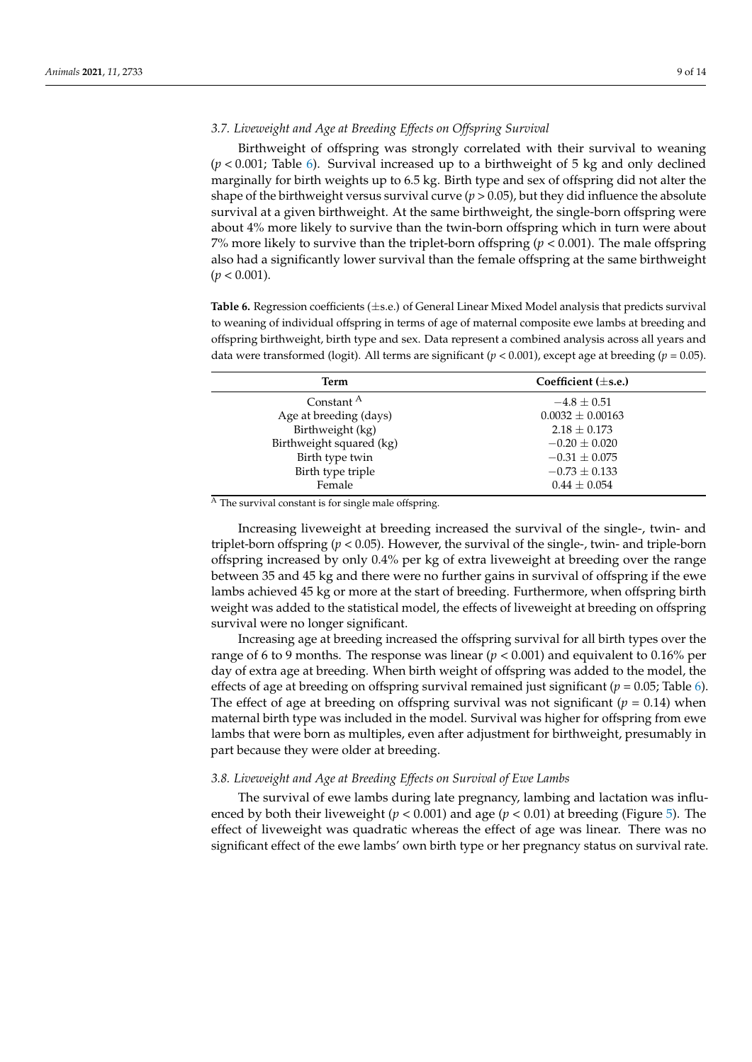# *3.7. Liveweight and Age at Breeding Effects on Offspring Survival*

Birthweight of offspring was strongly correlated with their survival to weaning (*p* < 0.001; Table [6\)](#page-8-0). Survival increased up to a birthweight of 5 kg and only declined marginally for birth weights up to 6.5 kg. Birth type and sex of offspring did not alter the shape of the birthweight versus survival curve  $(p > 0.05)$ , but they did influence the absolute survival at a given birthweight. At the same birthweight, the single-born offspring were about 4% more likely to survive than the twin-born offspring which in turn were about 7% more likely to survive than the triplet-born offspring  $(p < 0.001)$ . The male offspring also had a significantly lower survival than the female offspring at the same birthweight  $(p < 0.001)$ .

<span id="page-8-0"></span>**Table 6.** Regression coefficients (±s.e.) of General Linear Mixed Model analysis that predicts survival to weaning of individual offspring in terms of age of maternal composite ewe lambs at breeding and offspring birthweight, birth type and sex. Data represent a combined analysis across all years and data were transformed (logit). All terms are significant ( $p < 0.001$ ), except age at breeding ( $p = 0.05$ ).

| Term                     | Coefficient $(\pm s.e.)$ |  |  |  |  |
|--------------------------|--------------------------|--|--|--|--|
| Constant <sup>A</sup>    | $-4.8 \pm 0.51$          |  |  |  |  |
| Age at breeding (days)   | $0.0032 \pm 0.00163$     |  |  |  |  |
| Birthweight (kg)         | $2.18 \pm 0.173$         |  |  |  |  |
| Birthweight squared (kg) | $-0.20 \pm 0.020$        |  |  |  |  |
| Birth type twin          | $-0.31 \pm 0.075$        |  |  |  |  |
| Birth type triple        | $-0.73 \pm 0.133$        |  |  |  |  |
| Female                   | $0.44 \pm 0.054$         |  |  |  |  |

 $\overline{A}$  The survival constant is for single male offspring.

Increasing liveweight at breeding increased the survival of the single-, twin- and triplet-born offspring  $(p < 0.05)$ . However, the survival of the single-, twin- and triple-born offspring increased by only 0.4% per kg of extra liveweight at breeding over the range between 35 and 45 kg and there were no further gains in survival of offspring if the ewe lambs achieved 45 kg or more at the start of breeding. Furthermore, when offspring birth weight was added to the statistical model, the effects of liveweight at breeding on offspring survival were no longer significant.

Increasing age at breeding increased the offspring survival for all birth types over the range of 6 to 9 months. The response was linear (*p* < 0.001) and equivalent to 0.16% per day of extra age at breeding. When birth weight of offspring was added to the model, the effects of age at breeding on offspring survival remained just significant (*p* = 0.05; Table [6\)](#page-8-0). The effect of age at breeding on offspring survival was not significant ( $p = 0.14$ ) when maternal birth type was included in the model. Survival was higher for offspring from ewe lambs that were born as multiples, even after adjustment for birthweight, presumably in part because they were older at breeding.

### *3.8. Liveweight and Age at Breeding Effects on Survival of Ewe Lambs*

The survival of ewe lambs during late pregnancy, lambing and lactation was influenced by both their liveweight ( $p < 0.001$ ) and age ( $p < 0.01$ ) at breeding (Figure [5\)](#page-9-0). The effect of liveweight was quadratic whereas the effect of age was linear. There was no significant effect of the ewe lambs' own birth type or her pregnancy status on survival rate.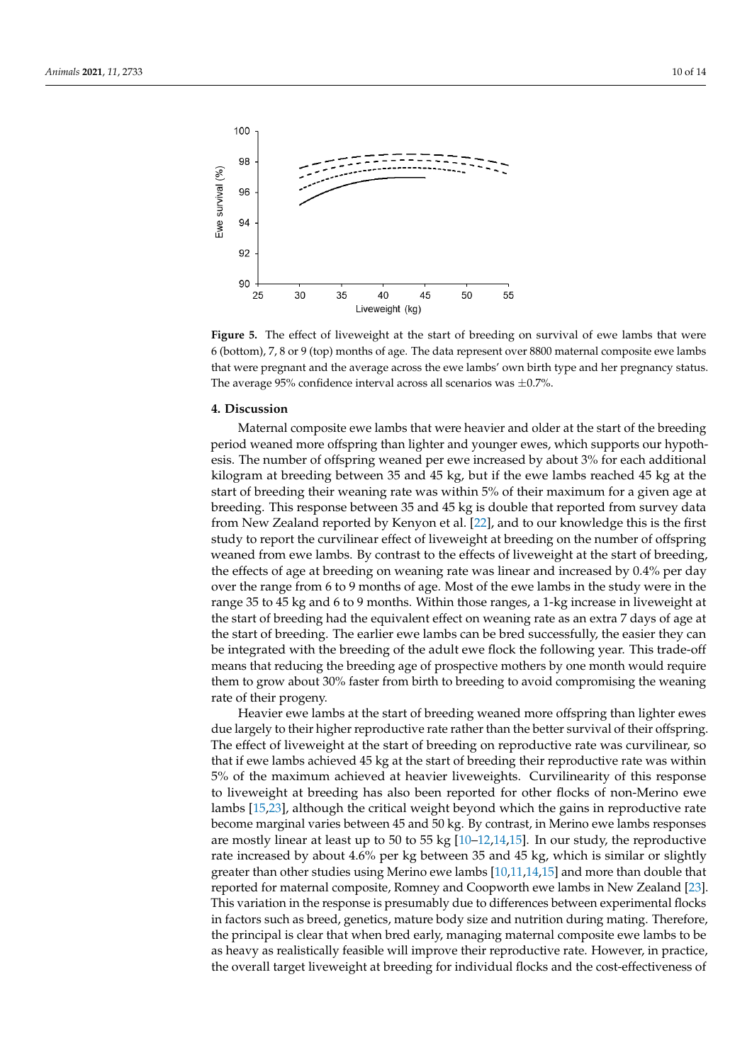<span id="page-9-0"></span>

**Figure 5.** The effect of liveweight at the start of breeding on survival of ewe lambs that were 6 (bottom), 7, 8 or 9 (top) months of age. The data represent over 8800 maternal composite ewe lambs that were pregnant and the average across the ewe lambs' own birth type and her pregnancy status. that were pregnant and the average across the ewe lambs' own birth type and her pregnancy status. The average 95% confidence interval across all scenarios was  $\pm$ 0.7%.

## **4. Discussion 4. Discussion**

Maternal composite ewe lambs that were heavier and older at the start of the breeding ing period weaned more offspring than lighter and younger ewes, which supports our period weaned more offspring than lighter and younger ewes, which supports our hypothesis. The number of offspring weaned per ewe increased by about 3% for each additional kilogram at breeding between 35 and 45 kg, but if the ewe lambs reached 45 kg at the start of breeding their weaning rate was within 5% of their maximum for a given age at at breeding. This response between 35 and 45 kg is double that reported from survey data breeding. This response between 35 and 45 kg is double that reported from survey data from New Zealand reported by Kenyon et al. [22], and to our knowledge this is the first from New Zealand reported by Kenyon et al. [\[22\]](#page-13-7), and to our knowledge this is the first study to report the curvilinear effect of liveweight at breeding on the number of offspring study to report the curvilinear effect of liveweight at breeding on the number of offspring weaned from ewe lambs. By contrast to the effects of liveweight at the start of breeding, weaned from ewe lambs. By contrast to the effects of liveweight at the start of breeding, the effects of age at breeding on weaning rate was linear and increased by 0.4% per day over the range from 6 to 9 months of age. Most of the ewe lambs in the study were in the study were in the study were in the study were in the study were in the study were in the study were in the study were in the study w range 35 to 45 kg and 6 to 9 months. Within those ranges, a 1-kg increase in liveweight at the start of breeding had the equivalent effect on weaning rate as an extra 7 days of age at the start of breeding had the equivalent effect on weaning rate as an extra 7 days of age at the start of breeding. The earlier ewe lambs can be bred successfully, the easier they can be start of bred successfully, the easier they can be integrated with the breeding of the adult ewe flock the following year. This trade-off being the state of the adult ewe flock the following year. This trade-off means that reducing the breeding age of prospective mothers by one month would require the means that reducing the breeding age of prospective mothers by one month would require them to grow about 30% faster from birth to breeding to avoid compromising the weaning<br>where the increase weapons rate of their progeny.<br>I Issue avec les

Heavier ewe lambs at the start of breeding weaned more offspring than lighter ewes due largely to their higher reproductive rate rather than the better survival of their offspring. The effect of liveweight at the start of breeding on reproductive rate was curvilinear, so the effect of interesting on the start of breeding on reproductive rate was currilinear, so that if ewe lambs achieved 45 kg at the start of breeding their reproductive rate was within ear, so that if ewe lambs achieved 45 kg at the start of breeding their reproductive rate was 5% of the maximum achieved at heavier liveweights. Curvilinearity of this response to liveweight at breeding has also been reported for other flocks of non-Merino ewe lambs [\[15](#page-13-0)[,23\]](#page-13-8), although the critical weight beyond which the gains in reproductive rate become marginal varies between 45 and 50 kg. By contrast, in Merino ewe lambs responses are mostly linear at least up to 50 to 55 kg  $\left[\frac{0}{10-12,14,15}\right]$  $\left[\frac{0}{10-12,14,15}\right]$  $\left[\frac{0}{10-12,14,15}\right]$ . In our study, the reproductive rate increased by about  $4.6\%$  per kg between 35 and 45 kg, which is similar or slightly greater than other studies using Merino ewe lambs  $[10,11,14,15]$  $[10,11,14,15]$  $[10,11,14,15]$  $[10,11,14,15]$  and more than double that reported for maternal composite, Romney and Coopworth ewe lambs in New Zealand [\[23\]](#page-13-8). This variation in the response is presumably due to differences between experimental flocks in factors such as breed, genetics, mature body size and nutrition during mating. Therefore, the principal is clear that when bred early, managing maternal composite ewe lambs to be as heavy as realistically feasible will improve their reproductive rate. However, in practice, the overall target liveweight at breeding for individual flocks and the cost-effectiveness of Heavier ewe lambs at the start of breeding weaned more offspring than lighter ewes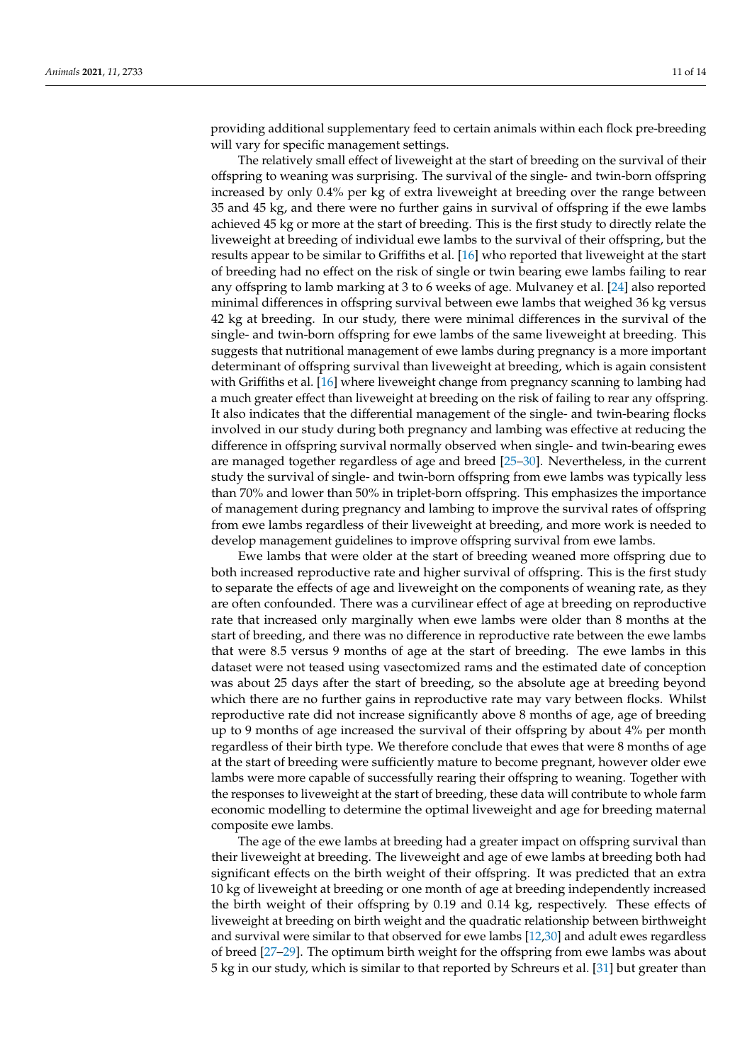providing additional supplementary feed to certain animals within each flock pre-breeding will vary for specific management settings.

The relatively small effect of liveweight at the start of breeding on the survival of their offspring to weaning was surprising. The survival of the single- and twin-born offspring increased by only 0.4% per kg of extra liveweight at breeding over the range between 35 and 45 kg, and there were no further gains in survival of offspring if the ewe lambs achieved 45 kg or more at the start of breeding. This is the first study to directly relate the liveweight at breeding of individual ewe lambs to the survival of their offspring, but the results appear to be similar to Griffiths et al. [\[16\]](#page-13-1) who reported that liveweight at the start of breeding had no effect on the risk of single or twin bearing ewe lambs failing to rear any offspring to lamb marking at 3 to 6 weeks of age. Mulvaney et al. [\[24\]](#page-13-9) also reported minimal differences in offspring survival between ewe lambs that weighed 36 kg versus 42 kg at breeding. In our study, there were minimal differences in the survival of the single- and twin-born offspring for ewe lambs of the same liveweight at breeding. This suggests that nutritional management of ewe lambs during pregnancy is a more important determinant of offspring survival than liveweight at breeding, which is again consistent with Griffiths et al. [\[16\]](#page-13-1) where liveweight change from pregnancy scanning to lambing had a much greater effect than liveweight at breeding on the risk of failing to rear any offspring. It also indicates that the differential management of the single- and twin-bearing flocks involved in our study during both pregnancy and lambing was effective at reducing the difference in offspring survival normally observed when single- and twin-bearing ewes are managed together regardless of age and breed [\[25](#page-13-10)[–30\]](#page-13-11). Nevertheless, in the current study the survival of single- and twin-born offspring from ewe lambs was typically less than 70% and lower than 50% in triplet-born offspring. This emphasizes the importance of management during pregnancy and lambing to improve the survival rates of offspring from ewe lambs regardless of their liveweight at breeding, and more work is needed to develop management guidelines to improve offspring survival from ewe lambs.

Ewe lambs that were older at the start of breeding weaned more offspring due to both increased reproductive rate and higher survival of offspring. This is the first study to separate the effects of age and liveweight on the components of weaning rate, as they are often confounded. There was a curvilinear effect of age at breeding on reproductive rate that increased only marginally when ewe lambs were older than 8 months at the start of breeding, and there was no difference in reproductive rate between the ewe lambs that were 8.5 versus 9 months of age at the start of breeding. The ewe lambs in this dataset were not teased using vasectomized rams and the estimated date of conception was about 25 days after the start of breeding, so the absolute age at breeding beyond which there are no further gains in reproductive rate may vary between flocks. Whilst reproductive rate did not increase significantly above 8 months of age, age of breeding up to 9 months of age increased the survival of their offspring by about 4% per month regardless of their birth type. We therefore conclude that ewes that were 8 months of age at the start of breeding were sufficiently mature to become pregnant, however older ewe lambs were more capable of successfully rearing their offspring to weaning. Together with the responses to liveweight at the start of breeding, these data will contribute to whole farm economic modelling to determine the optimal liveweight and age for breeding maternal composite ewe lambs.

The age of the ewe lambs at breeding had a greater impact on offspring survival than their liveweight at breeding. The liveweight and age of ewe lambs at breeding both had significant effects on the birth weight of their offspring. It was predicted that an extra 10 kg of liveweight at breeding or one month of age at breeding independently increased the birth weight of their offspring by 0.19 and 0.14 kg, respectively. These effects of liveweight at breeding on birth weight and the quadratic relationship between birthweight and survival were similar to that observed for ewe lambs [\[12](#page-12-10)[,30\]](#page-13-11) and adult ewes regardless of breed [\[27](#page-13-12)[–29\]](#page-13-13). The optimum birth weight for the offspring from ewe lambs was about 5 kg in our study, which is similar to that reported by Schreurs et al. [\[31\]](#page-13-14) but greater than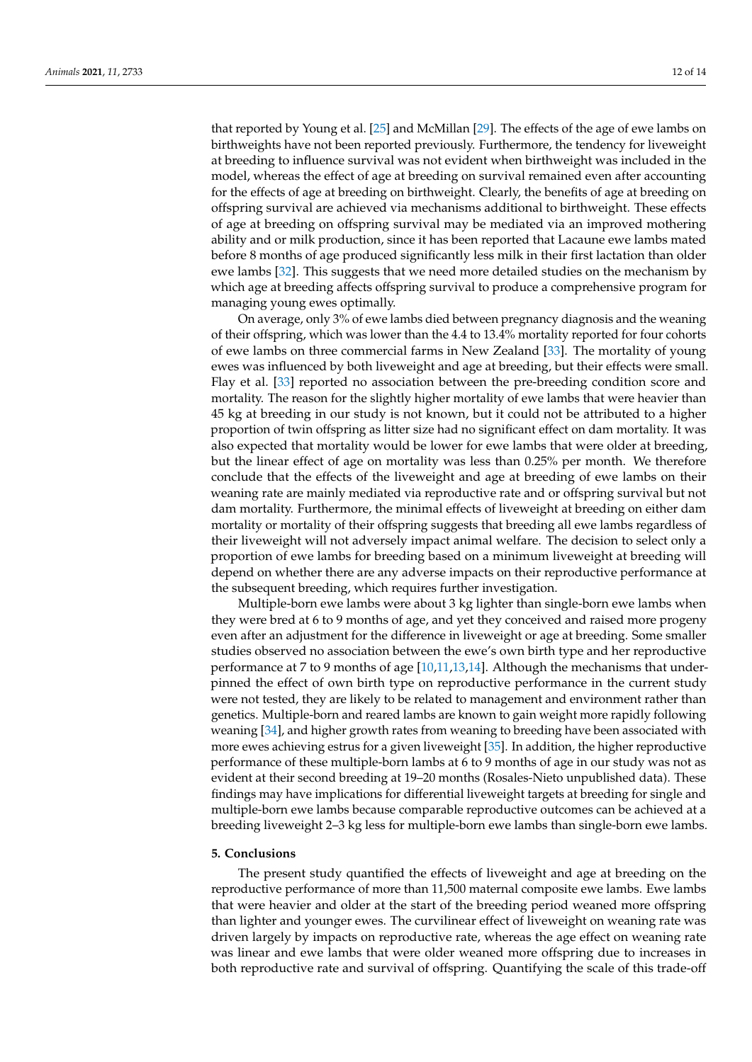that reported by Young et al. [\[25\]](#page-13-10) and McMillan [\[29\]](#page-13-13). The effects of the age of ewe lambs on birthweights have not been reported previously. Furthermore, the tendency for liveweight at breeding to influence survival was not evident when birthweight was included in the model, whereas the effect of age at breeding on survival remained even after accounting for the effects of age at breeding on birthweight. Clearly, the benefits of age at breeding on offspring survival are achieved via mechanisms additional to birthweight. These effects of age at breeding on offspring survival may be mediated via an improved mothering ability and or milk production, since it has been reported that Lacaune ewe lambs mated before 8 months of age produced significantly less milk in their first lactation than older ewe lambs [\[32\]](#page-13-15). This suggests that we need more detailed studies on the mechanism by which age at breeding affects offspring survival to produce a comprehensive program for

On average, only 3% of ewe lambs died between pregnancy diagnosis and the weaning of their offspring, which was lower than the 4.4 to 13.4% mortality reported for four cohorts of ewe lambs on three commercial farms in New Zealand [\[33\]](#page-13-16). The mortality of young ewes was influenced by both liveweight and age at breeding, but their effects were small. Flay et al. [\[33\]](#page-13-16) reported no association between the pre-breeding condition score and mortality. The reason for the slightly higher mortality of ewe lambs that were heavier than 45 kg at breeding in our study is not known, but it could not be attributed to a higher proportion of twin offspring as litter size had no significant effect on dam mortality. It was also expected that mortality would be lower for ewe lambs that were older at breeding, but the linear effect of age on mortality was less than 0.25% per month. We therefore conclude that the effects of the liveweight and age at breeding of ewe lambs on their weaning rate are mainly mediated via reproductive rate and or offspring survival but not dam mortality. Furthermore, the minimal effects of liveweight at breeding on either dam mortality or mortality of their offspring suggests that breeding all ewe lambs regardless of their liveweight will not adversely impact animal welfare. The decision to select only a proportion of ewe lambs for breeding based on a minimum liveweight at breeding will depend on whether there are any adverse impacts on their reproductive performance at the subsequent breeding, which requires further investigation.

Multiple-born ewe lambs were about 3 kg lighter than single-born ewe lambs when they were bred at 6 to 9 months of age, and yet they conceived and raised more progeny even after an adjustment for the difference in liveweight or age at breeding. Some smaller studies observed no association between the ewe's own birth type and her reproductive performance at 7 to 9 months of age [\[10](#page-12-6)[,11](#page-12-11)[,13](#page-12-7)[,14\]](#page-12-8). Although the mechanisms that underpinned the effect of own birth type on reproductive performance in the current study were not tested, they are likely to be related to management and environment rather than genetics. Multiple-born and reared lambs are known to gain weight more rapidly following weaning [\[34\]](#page-13-17), and higher growth rates from weaning to breeding have been associated with more ewes achieving estrus for a given liveweight [\[35\]](#page-13-18). In addition, the higher reproductive performance of these multiple-born lambs at 6 to 9 months of age in our study was not as evident at their second breeding at 19–20 months (Rosales-Nieto unpublished data). These findings may have implications for differential liveweight targets at breeding for single and multiple-born ewe lambs because comparable reproductive outcomes can be achieved at a breeding liveweight 2–3 kg less for multiple-born ewe lambs than single-born ewe lambs.

### **5. Conclusions**

managing young ewes optimally.

The present study quantified the effects of liveweight and age at breeding on the reproductive performance of more than 11,500 maternal composite ewe lambs. Ewe lambs that were heavier and older at the start of the breeding period weaned more offspring than lighter and younger ewes. The curvilinear effect of liveweight on weaning rate was driven largely by impacts on reproductive rate, whereas the age effect on weaning rate was linear and ewe lambs that were older weaned more offspring due to increases in both reproductive rate and survival of offspring. Quantifying the scale of this trade-off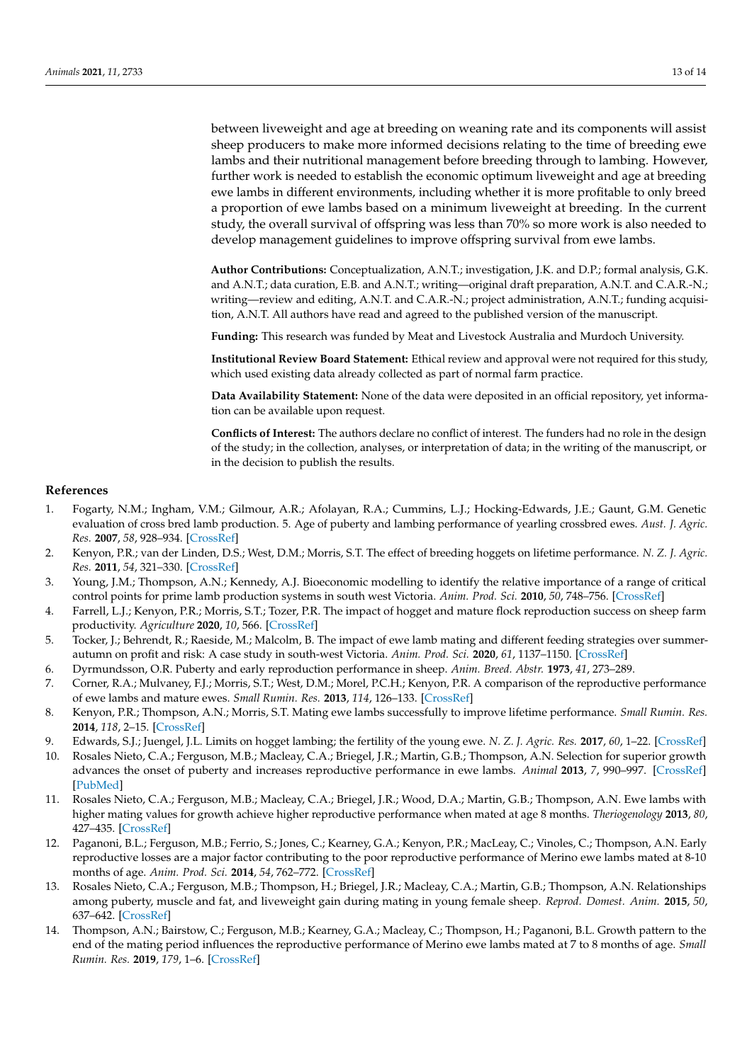between liveweight and age at breeding on weaning rate and its components will assist sheep producers to make more informed decisions relating to the time of breeding ewe lambs and their nutritional management before breeding through to lambing. However, further work is needed to establish the economic optimum liveweight and age at breeding ewe lambs in different environments, including whether it is more profitable to only breed a proportion of ewe lambs based on a minimum liveweight at breeding. In the current study, the overall survival of offspring was less than 70% so more work is also needed to develop management guidelines to improve offspring survival from ewe lambs.

**Author Contributions:** Conceptualization, A.N.T.; investigation, J.K. and D.P.; formal analysis, G.K. and A.N.T.; data curation, E.B. and A.N.T.; writing—original draft preparation, A.N.T. and C.A.R.-N.; writing—review and editing, A.N.T. and C.A.R.-N.; project administration, A.N.T.; funding acquisition, A.N.T. All authors have read and agreed to the published version of the manuscript.

**Funding:** This research was funded by Meat and Livestock Australia and Murdoch University.

**Institutional Review Board Statement:** Ethical review and approval were not required for this study, which used existing data already collected as part of normal farm practice.

**Data Availability Statement:** None of the data were deposited in an official repository, yet information can be available upon request.

**Conflicts of Interest:** The authors declare no conflict of interest. The funders had no role in the design of the study; in the collection, analyses, or interpretation of data; in the writing of the manuscript, or in the decision to publish the results.

#### **References**

- <span id="page-12-0"></span>1. Fogarty, N.M.; Ingham, V.M.; Gilmour, A.R.; Afolayan, R.A.; Cummins, L.J.; Hocking-Edwards, J.E.; Gaunt, G.M. Genetic evaluation of cross bred lamb production. 5. Age of puberty and lambing performance of yearling crossbred ewes. *Aust. J. Agric. Res.* **2007**, *58*, 928–934. [\[CrossRef\]](http://doi.org/10.1071/AR06401)
- <span id="page-12-1"></span>2. Kenyon, P.R.; van der Linden, D.S.; West, D.M.; Morris, S.T. The effect of breeding hoggets on lifetime performance. *N. Z. J. Agric. Res.* **2011**, *54*, 321–330. [\[CrossRef\]](http://doi.org/10.1080/00288233.2011.611148)
- <span id="page-12-2"></span>3. Young, J.M.; Thompson, A.N.; Kennedy, A.J. Bioeconomic modelling to identify the relative importance of a range of critical control points for prime lamb production systems in south west Victoria. *Anim. Prod. Sci.* **2010**, *50*, 748–756. [\[CrossRef\]](http://doi.org/10.1071/AN09103)
- 4. Farrell, L.J.; Kenyon, P.R.; Morris, S.T.; Tozer, P.R. The impact of hogget and mature flock reproduction success on sheep farm productivity. *Agriculture* **2020**, *10*, 566. [\[CrossRef\]](http://doi.org/10.3390/agriculture10110566)
- <span id="page-12-3"></span>5. Tocker, J.; Behrendt, R.; Raeside, M.; Malcolm, B. The impact of ewe lamb mating and different feeding strategies over summerautumn on profit and risk: A case study in south-west Victoria. *Anim. Prod. Sci.* **2020**, *61*, 1137–1150. [\[CrossRef\]](http://doi.org/10.1071/AN20107)
- <span id="page-12-4"></span>6. Dyrmundsson, O.R. Puberty and early reproduction performance in sheep. *Anim. Breed. Abstr.* **1973**, *41*, 273–289.
- <span id="page-12-9"></span>7. Corner, R.A.; Mulvaney, F.J.; Morris, S.T.; West, D.M.; Morel, P.C.H.; Kenyon, P.R. A comparison of the reproductive performance of ewe lambs and mature ewes. *Small Rumin. Res.* **2013**, *114*, 126–133. [\[CrossRef\]](http://doi.org/10.1016/j.smallrumres.2013.05.018)
- 8. Kenyon, P.R.; Thompson, A.N.; Morris, S.T. Mating ewe lambs successfully to improve lifetime performance. *Small Rumin. Res.* **2014**, *118*, 2–15. [\[CrossRef\]](http://doi.org/10.1016/j.smallrumres.2013.12.022)
- <span id="page-12-5"></span>9. Edwards, S.J.; Juengel, J.L. Limits on hogget lambing; the fertility of the young ewe. *N. Z. J. Agric. Res.* **2017**, *60*, 1–22. [\[CrossRef\]](http://doi.org/10.1080/00288233.2016.1253592)
- <span id="page-12-6"></span>10. Rosales Nieto, C.A.; Ferguson, M.B.; Macleay, C.A.; Briegel, J.R.; Martin, G.B.; Thompson, A.N. Selection for superior growth advances the onset of puberty and increases reproductive performance in ewe lambs. *Animal* **2013**, *7*, 990–997. [\[CrossRef\]](http://doi.org/10.1017/S1751731113000074) [\[PubMed\]](http://www.ncbi.nlm.nih.gov/pubmed/23394163)
- <span id="page-12-11"></span>11. Rosales Nieto, C.A.; Ferguson, M.B.; Macleay, C.A.; Briegel, J.R.; Wood, D.A.; Martin, G.B.; Thompson, A.N. Ewe lambs with higher mating values for growth achieve higher reproductive performance when mated at age 8 months. *Theriogenology* **2013**, *80*, 427–435. [\[CrossRef\]](http://doi.org/10.1016/j.theriogenology.2013.05.004)
- <span id="page-12-10"></span>12. Paganoni, B.L.; Ferguson, M.B.; Ferrio, S.; Jones, C.; Kearney, G.A.; Kenyon, P.R.; MacLeay, C.; Vinoles, C.; Thompson, A.N. Early reproductive losses are a major factor contributing to the poor reproductive performance of Merino ewe lambs mated at 8-10 months of age. *Anim. Prod. Sci.* **2014**, *54*, 762–772. [\[CrossRef\]](http://doi.org/10.1071/AN13240)
- <span id="page-12-7"></span>13. Rosales Nieto, C.A.; Ferguson, M.B.; Thompson, H.; Briegel, J.R.; Macleay, C.A.; Martin, G.B.; Thompson, A.N. Relationships among puberty, muscle and fat, and liveweight gain during mating in young female sheep. *Reprod. Domest. Anim.* **2015**, *50*, 637–642. [\[CrossRef\]](http://doi.org/10.1111/rda.12542)
- <span id="page-12-8"></span>14. Thompson, A.N.; Bairstow, C.; Ferguson, M.B.; Kearney, G.A.; Macleay, C.; Thompson, H.; Paganoni, B.L. Growth pattern to the end of the mating period influences the reproductive performance of Merino ewe lambs mated at 7 to 8 months of age. *Small Rumin. Res.* **2019**, *179*, 1–6. [\[CrossRef\]](http://doi.org/10.1016/j.smallrumres.2019.08.007)